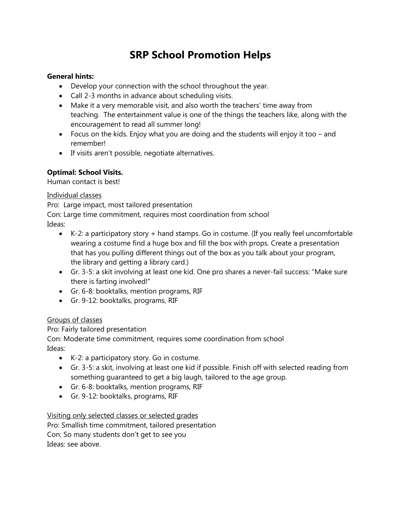# **SRP School Promotion Helps**

#### **General hints:**

- Develop your connection with the school throughout the year.
- Call 2-3 months in advance about scheduling visits.
- Make it a very memorable visit, and also worth the teachers' time away from teaching. The entertainment value is one of the things the teachers like, along with the encouragement to read all summer long!
- Focus on the kids. Enjoy what you are doing and the students will enjoy it too and remember!
- If visits aren't possible, negotiate alternatives.

## **Optimal: School Visits.**

Human contact is best!

#### Individual classes

Pro: Large impact, most tailored presentation

Con: Large time commitment, requires most coordination from school

Ideas:

- K-2: a participatory story + hand stamps. Go in costume. (If you really feel uncomfortable wearing a costume find a huge box and fill the box with props. Create a presentation that has you pulling different things out of the box as you talk about your program, the library and getting a library card.)
- Gr. 3-5: a skit involving at least one kid. One pro shares a never-fail success: "Make sure there is farting involved!"
- Gr. 6-8: booktalks, mention programs, RIF
- Gr. 9-12: booktalks, programs, RIF

## Groups of classes

Pro: Fairly tailored presentation

Con: Moderate time commitment, requires some coordination from school Ideas:

- K-2: a participatory story. Go in costume.
- Gr. 3-5: a skit, involving at least one kid if possible. Finish off with selected reading from something guaranteed to get a big laugh, tailored to the age group.
- Gr. 6-8: booktalks, mention programs, RIF
- Gr. 9-12: booktalks, programs, RIF

## Visiting only selected classes or selected grades

Pro: Smallish time commitment, tailored presentation Con: So many students don't get to see you Ideas: see above.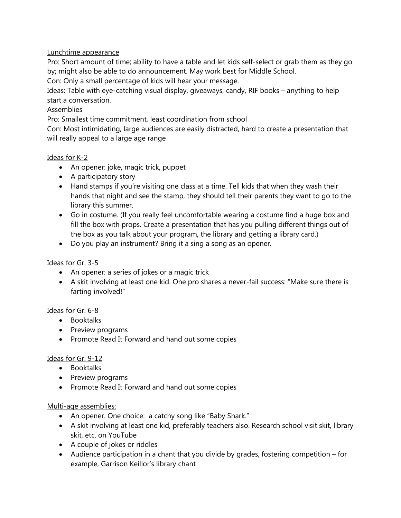## Lunchtime appearance

Pro: Short amount of time; ability to have a table and let kids self-select or grab them as they go by; might also be able to do announcement. May work best for Middle School.

Con: Only a small percentage of kids will hear your message.

Ideas: Table with eye-catching visual display, giveaways, candy, RIF books – anything to help start a conversation.

# Assemblies

Pro: Smallest time commitment, least coordination from school

Con: Most intimidating, large audiences are easily distracted, hard to create a presentation that will really appeal to a large age range

# Ideas for K-2

- An opener: joke, magic trick, puppet
- A participatory story
- Hand stamps if you're visiting one class at a time. Tell kids that when they wash their hands that night and see the stamp, they should tell their parents they want to go to the library this summer.
- Go in costume. (If you really feel uncomfortable wearing a costume find a huge box and fill the box with props. Create a presentation that has you pulling different things out of the box as you talk about your program, the library and getting a library card.)
- Do you play an instrument? Bring it a sing a song as an opener.

# Ideas for Gr. 3-5

- An opener: a series of jokes or a magic trick
- A skit involving at least one kid. One pro shares a never-fail success: "Make sure there is farting involved!"

## Ideas for Gr. 6-8

- Booktalks
- Preview programs
- Promote Read It Forward and hand out some copies

## Ideas for Gr. 9-12

- Booktalks
- Preview programs
- Promote Read It Forward and hand out some copies

## Multi-age assemblies:

- An opener. One choice: a catchy song like "Baby Shark."
- A skit involving at least one kid, preferably teachers also. Research school visit skit, library skit, etc. on YouTube
- A couple of jokes or riddles
- Audience participation in a chant that you divide by grades, fostering competition for example, Garrison Keillor's library chant